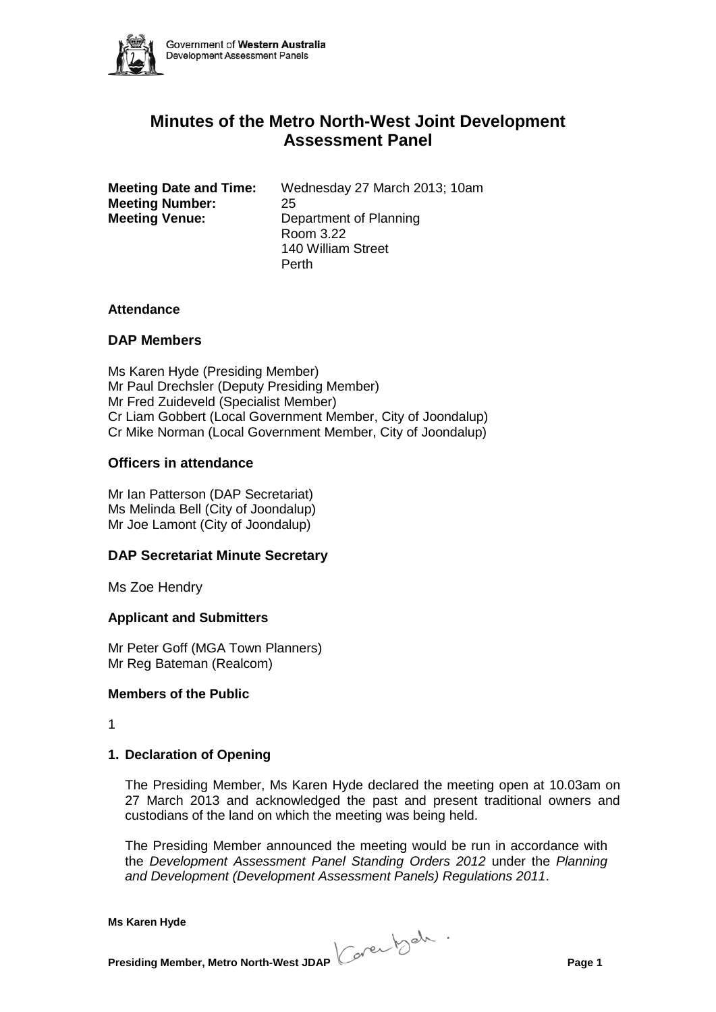

# **Minutes of the Metro North-West Joint Development Assessment Panel**

**Meeting Date and Time:** Wednesday 27 March 2013; 10am **Meeting Number:** 25 **Meeting Venue:** Department of Planning Room 3.22 140 William Street Perth

#### **Attendance**

#### **DAP Members**

Ms Karen Hyde (Presiding Member) Mr Paul Drechsler (Deputy Presiding Member) Mr Fred Zuideveld (Specialist Member) Cr Liam Gobbert (Local Government Member, City of Joondalup) Cr Mike Norman (Local Government Member, City of Joondalup)

#### **Officers in attendance**

Mr Ian Patterson (DAP Secretariat) Ms Melinda Bell (City of Joondalup) Mr Joe Lamont (City of Joondalup)

#### **DAP Secretariat Minute Secretary**

Ms Zoe Hendry

# **Applicant and Submitters**

Mr Peter Goff (MGA Town Planners) Mr Reg Bateman (Realcom)

#### **Members of the Public**

1

# **1. Declaration of Opening**

The Presiding Member, Ms Karen Hyde declared the meeting open at 10.03am on 27 March 2013 and acknowledged the past and present traditional owners and custodians of the land on which the meeting was being held.

The Presiding Member announced the meeting would be run in accordance with the *Development Assessment Panel Standing Orders 2012* under the *Planning and Development (Development Assessment Panels) Regulations 2011*.

**Presiding Member, Metro North-West JDAP Concerned to the Conduct of Page 1**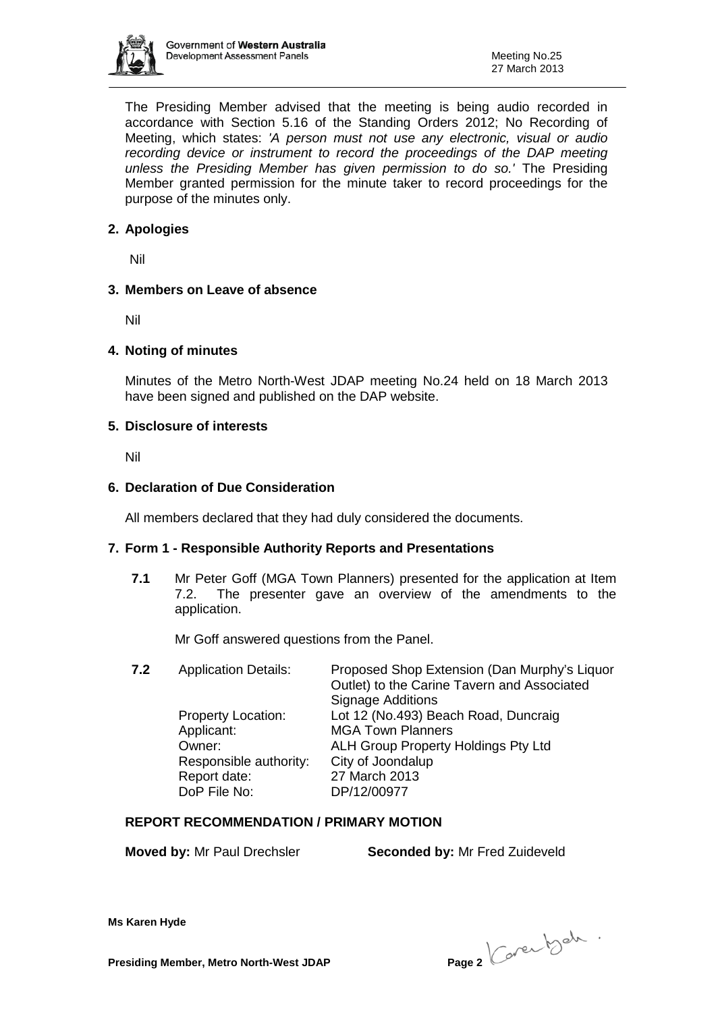

The Presiding Member advised that the meeting is being audio recorded in accordance with Section 5.16 of the Standing Orders 2012; No Recording of Meeting, which states: *'A person must not use any electronic, visual or audio recording device or instrument to record the proceedings of the DAP meeting unless the Presiding Member has given permission to do so.'* The Presiding Member granted permission for the minute taker to record proceedings for the purpose of the minutes only.

# **2. Apologies**

Nil

# **3. Members on Leave of absence**

Nil

#### **4. Noting of minutes**

Minutes of the Metro North-West JDAP meeting No.24 held on 18 March 2013 have been signed and published on the DAP website.

#### **5. Disclosure of interests**

Nil

#### **6. Declaration of Due Consideration**

All members declared that they had duly considered the documents.

# **7. Form 1 - Responsible Authority Reports and Presentations**

**7.1** Mr Peter Goff (MGA Town Planners) presented for the application at Item 7.2. The presenter gave an overview of the amendments to the application.

Mr Goff answered questions from the Panel.

**7.2** Application Details: Proposed Shop Extension (Dan Murphy's Liquor

Outlet) to the Carine Tavern and Associated Signage Additions Property Location: Lot 12 (No.493) Beach Road, Duncraig Applicant: MGA Town Planners Owner: ALH Group Property Holdings Pty Ltd Responsible authority: City of Joondalup Report date: 27 March 2013 DoP File No: DP/12/00977

# **REPORT RECOMMENDATION / PRIMARY MOTION**

**Moved by:** Mr Paul Drechsler **Seconded by:** Mr Fred Zuideveld

**Presiding Member, Metro North-West JDAP Page 2**  $\left(\begin{array}{c} 0 & 0 \\ 0 & 0 \end{array}\right)$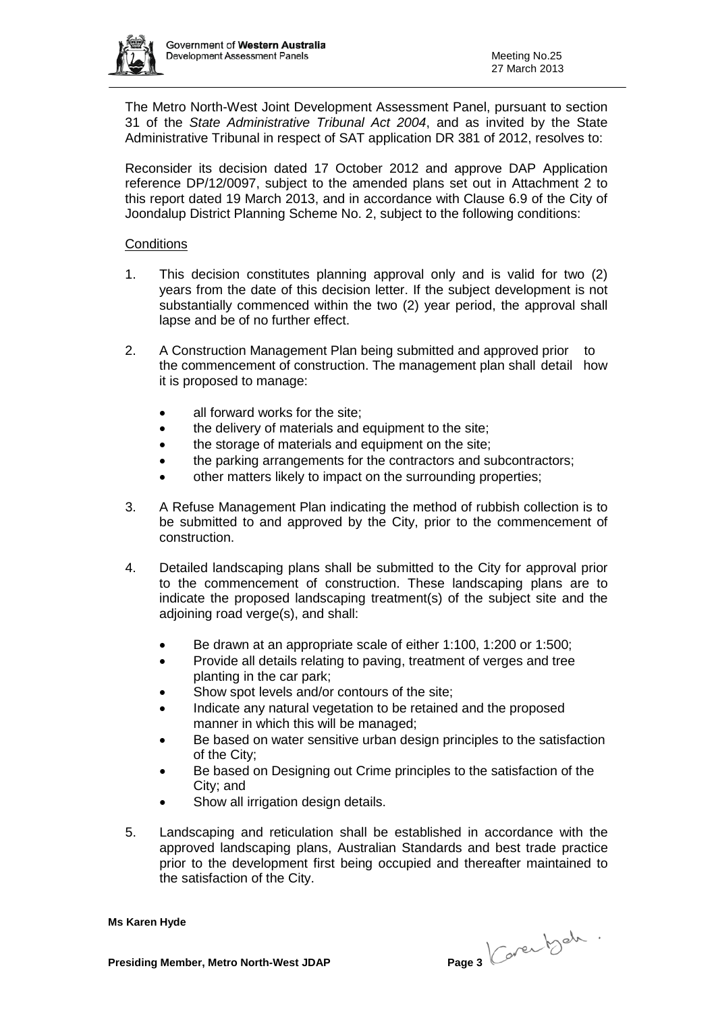

The Metro North-West Joint Development Assessment Panel, pursuant to section 31 of the *State Administrative Tribunal Act 2004*, and as invited by the State Administrative Tribunal in respect of SAT application DR 381 of 2012, resolves to:

Reconsider its decision dated 17 October 2012 and approve DAP Application reference DP/12/0097, subject to the amended plans set out in Attachment 2 to this report dated 19 March 2013, and in accordance with Clause 6.9 of the City of Joondalup District Planning Scheme No. 2, subject to the following conditions:

#### **Conditions**

- 1. This decision constitutes planning approval only and is valid for two (2) years from the date of this decision letter. If the subject development is not substantially commenced within the two (2) year period, the approval shall lapse and be of no further effect.
- 2. A Construction Management Plan being submitted and approved prior to the commencement of construction. The management plan shall detail how it is proposed to manage:
	- all forward works for the site;
	- the delivery of materials and equipment to the site:
	- the storage of materials and equipment on the site:
	- the parking arrangements for the contractors and subcontractors;
	- other matters likely to impact on the surrounding properties;
- 3. A Refuse Management Plan indicating the method of rubbish collection is to be submitted to and approved by the City, prior to the commencement of construction.
- 4. Detailed landscaping plans shall be submitted to the City for approval prior to the commencement of construction. These landscaping plans are to indicate the proposed landscaping treatment(s) of the subject site and the adjoining road verge(s), and shall:
	- Be drawn at an appropriate scale of either 1:100, 1:200 or 1:500;
	- Provide all details relating to paving, treatment of verges and tree planting in the car park;
	- Show spot levels and/or contours of the site;
	- Indicate any natural vegetation to be retained and the proposed manner in which this will be managed;
	- Be based on water sensitive urban design principles to the satisfaction of the City;
	- Be based on Designing out Crime principles to the satisfaction of the City; and
	- Show all irrigation design details.
- 5. Landscaping and reticulation shall be established in accordance with the approved landscaping plans, Australian Standards and best trade practice prior to the development first being occupied and thereafter maintained to the satisfaction of the City.

**Presiding Member, Metro North-West JDAP Page 3**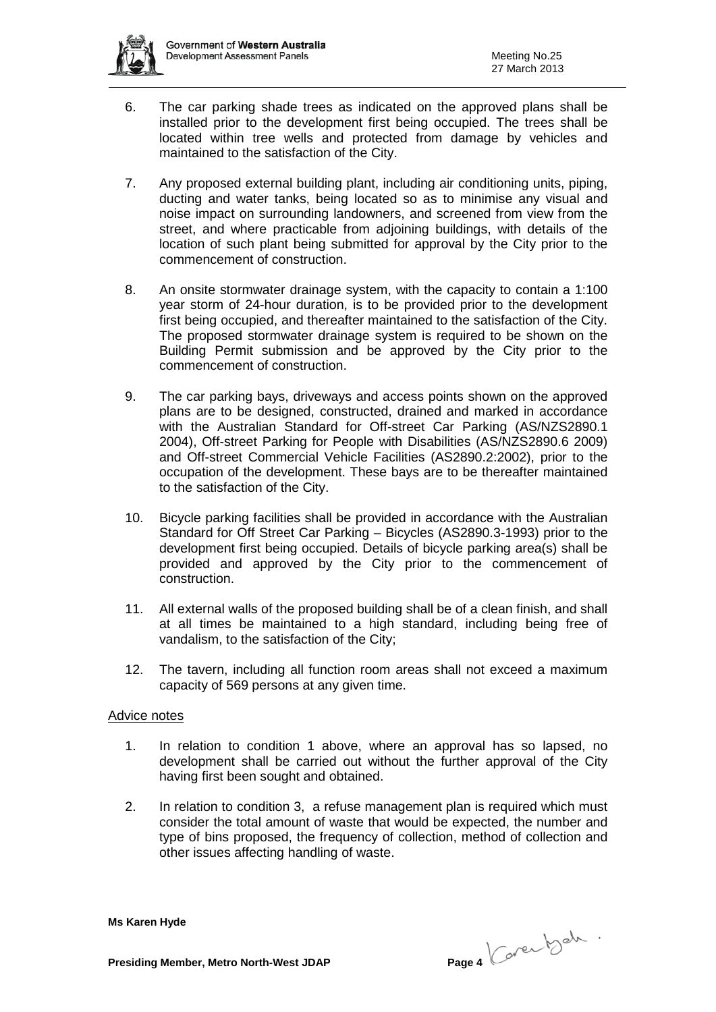

- 6. The car parking shade trees as indicated on the approved plans shall be installed prior to the development first being occupied. The trees shall be located within tree wells and protected from damage by vehicles and maintained to the satisfaction of the City.
- 7. Any proposed external building plant, including air conditioning units, piping, ducting and water tanks, being located so as to minimise any visual and noise impact on surrounding landowners, and screened from view from the street, and where practicable from adjoining buildings, with details of the location of such plant being submitted for approval by the City prior to the commencement of construction.
- 8. An onsite stormwater drainage system, with the capacity to contain a 1:100 year storm of 24-hour duration, is to be provided prior to the development first being occupied, and thereafter maintained to the satisfaction of the City. The proposed stormwater drainage system is required to be shown on the Building Permit submission and be approved by the City prior to the commencement of construction.
- 9. The car parking bays, driveways and access points shown on the approved plans are to be designed, constructed, drained and marked in accordance with the Australian Standard for Off-street Car Parking (AS/NZS2890.1 2004), Off-street Parking for People with Disabilities (AS/NZS2890.6 2009) and Off-street Commercial Vehicle Facilities (AS2890.2:2002), prior to the occupation of the development. These bays are to be thereafter maintained to the satisfaction of the City.
- 10. Bicycle parking facilities shall be provided in accordance with the Australian Standard for Off Street Car Parking – Bicycles (AS2890.3-1993) prior to the development first being occupied. Details of bicycle parking area(s) shall be provided and approved by the City prior to the commencement of construction.
- 11. All external walls of the proposed building shall be of a clean finish, and shall at all times be maintained to a high standard, including being free of vandalism, to the satisfaction of the City;
- 12. The tavern, including all function room areas shall not exceed a maximum capacity of 569 persons at any given time.

# Advice notes

- 1. In relation to condition 1 above, where an approval has so lapsed, no development shall be carried out without the further approval of the City having first been sought and obtained.
- 2. In relation to condition 3, a refuse management plan is required which must consider the total amount of waste that would be expected, the number and type of bins proposed, the frequency of collection, method of collection and other issues affecting handling of waste.

**Presiding Member, Metro North-West JDAP Page 4**  $\left(\begin{array}{c} 0 & 0 \\ 0 & 0 \end{array}\right)$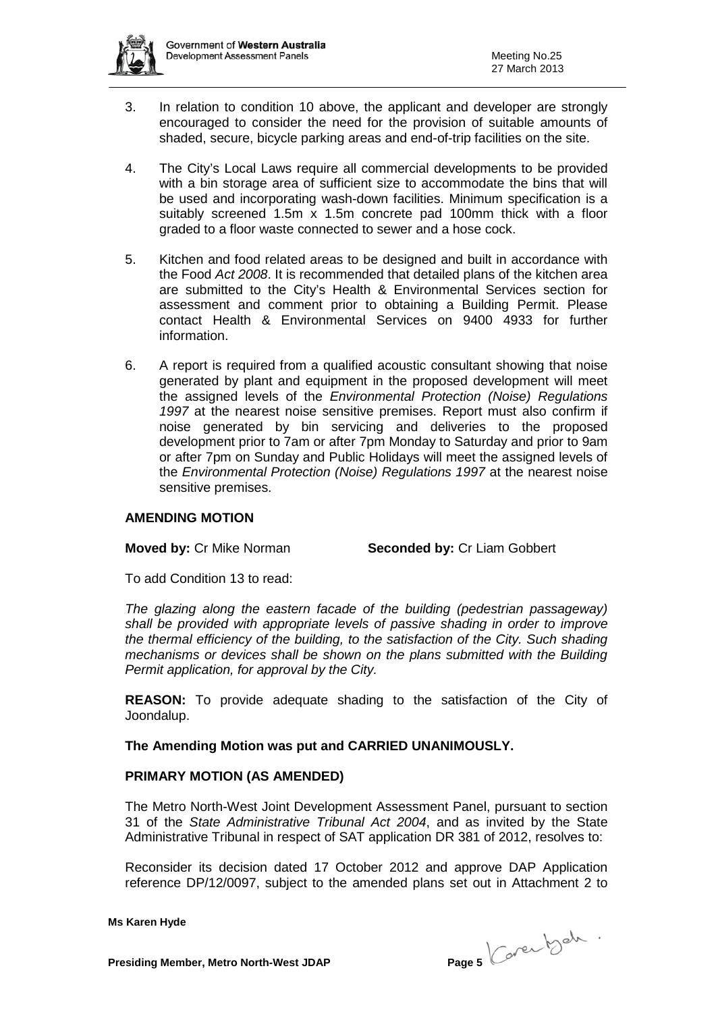

- 3. In relation to condition 10 above, the applicant and developer are strongly encouraged to consider the need for the provision of suitable amounts of shaded, secure, bicycle parking areas and end-of-trip facilities on the site.
- 4. The City's Local Laws require all commercial developments to be provided with a bin storage area of sufficient size to accommodate the bins that will be used and incorporating wash-down facilities. Minimum specification is a suitably screened 1.5m x 1.5m concrete pad 100mm thick with a floor graded to a floor waste connected to sewer and a hose cock.
- 5. Kitchen and food related areas to be designed and built in accordance with the Food *Act 2008*. It is recommended that detailed plans of the kitchen area are submitted to the City's Health & Environmental Services section for assessment and comment prior to obtaining a Building Permit. Please contact Health & Environmental Services on 9400 4933 for further information.
- 6. A report is required from a qualified acoustic consultant showing that noise generated by plant and equipment in the proposed development will meet the assigned levels of the *Environmental Protection (Noise) Regulations 1997* at the nearest noise sensitive premises. Report must also confirm if noise generated by bin servicing and deliveries to the proposed development prior to 7am or after 7pm Monday to Saturday and prior to 9am or after 7pm on Sunday and Public Holidays will meet the assigned levels of the *Environmental Protection (Noise) Regulations 1997* at the nearest noise sensitive premises.

# **AMENDING MOTION**

**Moved by: Cr Mike Norman <b>Seconded by: Cr Liam Gobbert** 

To add Condition 13 to read:

*The glazing along the eastern facade of the building (pedestrian passageway) shall be provided with appropriate levels of passive shading in order to improve the thermal efficiency of the building, to the satisfaction of the City. Such shading mechanisms or devices shall be shown on the plans submitted with the Building Permit application, for approval by the City.*

**REASON:** To provide adequate shading to the satisfaction of the City of Joondalup.

# **The Amending Motion was put and CARRIED UNANIMOUSLY.**

#### **PRIMARY MOTION (AS AMENDED)**

The Metro North-West Joint Development Assessment Panel, pursuant to section 31 of the *State Administrative Tribunal Act 2004*, and as invited by the State Administrative Tribunal in respect of SAT application DR 381 of 2012, resolves to:

Reconsider its decision dated 17 October 2012 and approve DAP Application reference DP/12/0097, subject to the amended plans set out in Attachment 2 to

**Presiding Member, Metro North-West JDAP Page 5**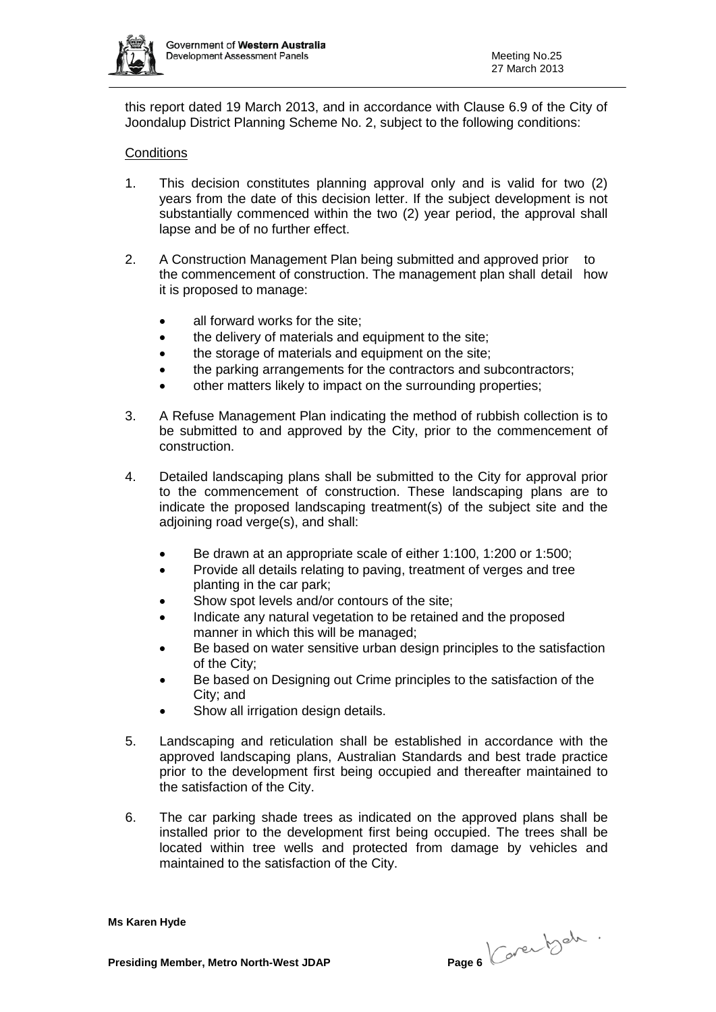

this report dated 19 March 2013, and in accordance with Clause 6.9 of the City of Joondalup District Planning Scheme No. 2, subject to the following conditions:

# **Conditions**

- 1. This decision constitutes planning approval only and is valid for two (2) years from the date of this decision letter. If the subject development is not substantially commenced within the two (2) year period, the approval shall lapse and be of no further effect.
- 2. A Construction Management Plan being submitted and approved prior to the commencement of construction. The management plan shall detail how it is proposed to manage:
	- all forward works for the site:
	- the delivery of materials and equipment to the site;
	- the storage of materials and equipment on the site;
	- the parking arrangements for the contractors and subcontractors;
	- other matters likely to impact on the surrounding properties;
- 3. A Refuse Management Plan indicating the method of rubbish collection is to be submitted to and approved by the City, prior to the commencement of construction.
- 4. Detailed landscaping plans shall be submitted to the City for approval prior to the commencement of construction. These landscaping plans are to indicate the proposed landscaping treatment(s) of the subject site and the adjoining road verge(s), and shall:
	- Be drawn at an appropriate scale of either 1:100, 1:200 or 1:500;
	- Provide all details relating to paving, treatment of verges and tree planting in the car park;
	- Show spot levels and/or contours of the site;
	- Indicate any natural vegetation to be retained and the proposed manner in which this will be managed;
	- Be based on water sensitive urban design principles to the satisfaction of the City;
	- Be based on Designing out Crime principles to the satisfaction of the City; and
	- Show all irrigation design details.
- 5. Landscaping and reticulation shall be established in accordance with the approved landscaping plans, Australian Standards and best trade practice prior to the development first being occupied and thereafter maintained to the satisfaction of the City.
- 6. The car parking shade trees as indicated on the approved plans shall be installed prior to the development first being occupied. The trees shall be located within tree wells and protected from damage by vehicles and maintained to the satisfaction of the City.

**Presiding Member, Metro North-West JDAP Page 6**  $\left(\begin{array}{c} 0 & 0 \\ 0 & 0 \end{array}\right)$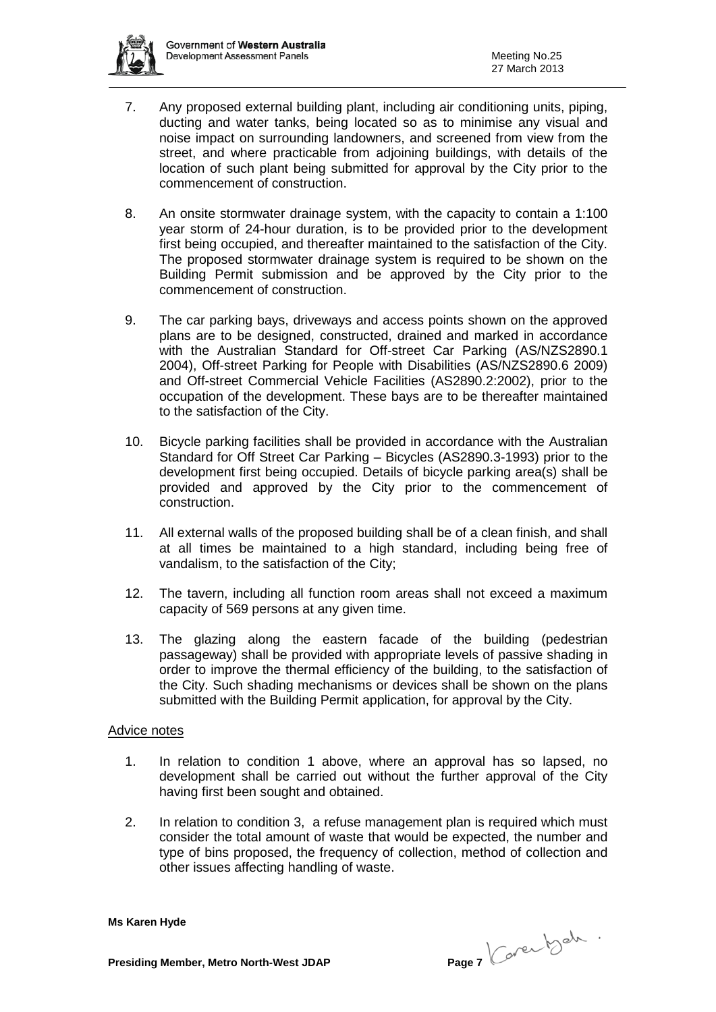

- 7. Any proposed external building plant, including air conditioning units, piping, ducting and water tanks, being located so as to minimise any visual and noise impact on surrounding landowners, and screened from view from the street, and where practicable from adjoining buildings, with details of the location of such plant being submitted for approval by the City prior to the commencement of construction.
- 8. An onsite stormwater drainage system, with the capacity to contain a 1:100 year storm of 24-hour duration, is to be provided prior to the development first being occupied, and thereafter maintained to the satisfaction of the City. The proposed stormwater drainage system is required to be shown on the Building Permit submission and be approved by the City prior to the commencement of construction.
- 9. The car parking bays, driveways and access points shown on the approved plans are to be designed, constructed, drained and marked in accordance with the Australian Standard for Off-street Car Parking (AS/NZS2890.1 2004), Off-street Parking for People with Disabilities (AS/NZS2890.6 2009) and Off-street Commercial Vehicle Facilities (AS2890.2:2002), prior to the occupation of the development. These bays are to be thereafter maintained to the satisfaction of the City.
- 10. Bicycle parking facilities shall be provided in accordance with the Australian Standard for Off Street Car Parking – Bicycles (AS2890.3-1993) prior to the development first being occupied. Details of bicycle parking area(s) shall be provided and approved by the City prior to the commencement of construction.
- 11. All external walls of the proposed building shall be of a clean finish, and shall at all times be maintained to a high standard, including being free of vandalism, to the satisfaction of the City;
- 12. The tavern, including all function room areas shall not exceed a maximum capacity of 569 persons at any given time.
- 13. The glazing along the eastern facade of the building (pedestrian passageway) shall be provided with appropriate levels of passive shading in order to improve the thermal efficiency of the building, to the satisfaction of the City. Such shading mechanisms or devices shall be shown on the plans submitted with the Building Permit application, for approval by the City.

#### Advice notes

- 1. In relation to condition 1 above, where an approval has so lapsed, no development shall be carried out without the further approval of the City having first been sought and obtained.
- 2. In relation to condition 3, a refuse management plan is required which must consider the total amount of waste that would be expected, the number and type of bins proposed, the frequency of collection, method of collection and other issues affecting handling of waste.

**Presiding Member, Metro North-West JDAP Page 7**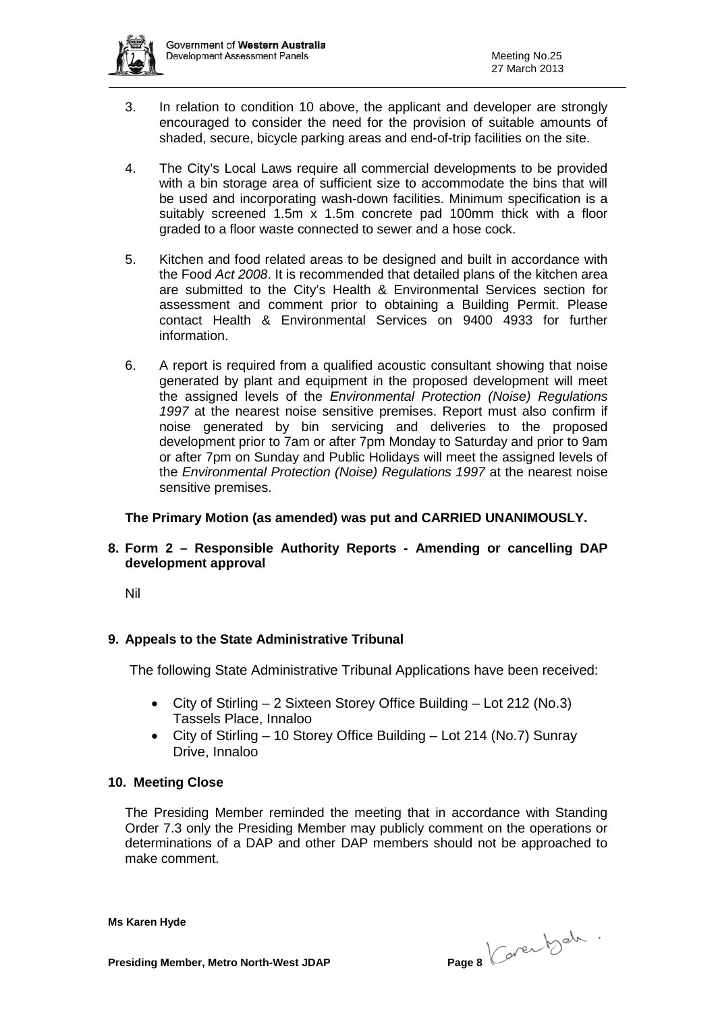

- 3. In relation to condition 10 above, the applicant and developer are strongly encouraged to consider the need for the provision of suitable amounts of shaded, secure, bicycle parking areas and end-of-trip facilities on the site.
- 4. The City's Local Laws require all commercial developments to be provided with a bin storage area of sufficient size to accommodate the bins that will be used and incorporating wash-down facilities. Minimum specification is a suitably screened 1.5m x 1.5m concrete pad 100mm thick with a floor graded to a floor waste connected to sewer and a hose cock.
- 5. Kitchen and food related areas to be designed and built in accordance with the Food *Act 2008*. It is recommended that detailed plans of the kitchen area are submitted to the City's Health & Environmental Services section for assessment and comment prior to obtaining a Building Permit. Please contact Health & Environmental Services on 9400 4933 for further information.
- 6. A report is required from a qualified acoustic consultant showing that noise generated by plant and equipment in the proposed development will meet the assigned levels of the *Environmental Protection (Noise) Regulations 1997* at the nearest noise sensitive premises. Report must also confirm if noise generated by bin servicing and deliveries to the proposed development prior to 7am or after 7pm Monday to Saturday and prior to 9am or after 7pm on Sunday and Public Holidays will meet the assigned levels of the *Environmental Protection (Noise) Regulations 1997* at the nearest noise sensitive premises.

# **The Primary Motion (as amended) was put and CARRIED UNANIMOUSLY.**

# **8. Form 2 – Responsible Authority Reports - Amending or cancelling DAP development approval**

Nil

# **9. Appeals to the State Administrative Tribunal**

The following State Administrative Tribunal Applications have been received:

- City of Stirling 2 Sixteen Storey Office Building Lot 212 (No.3) Tassels Place, Innaloo
- City of Stirling 10 Storey Office Building Lot 214 (No.7) Sunray Drive, Innaloo

# **10. Meeting Close**

The Presiding Member reminded the meeting that in accordance with Standing Order 7.3 only the Presiding Member may publicly comment on the operations or determinations of a DAP and other DAP members should not be approached to make comment.

**Presiding Member, Metro North-West JDAP Page 8**